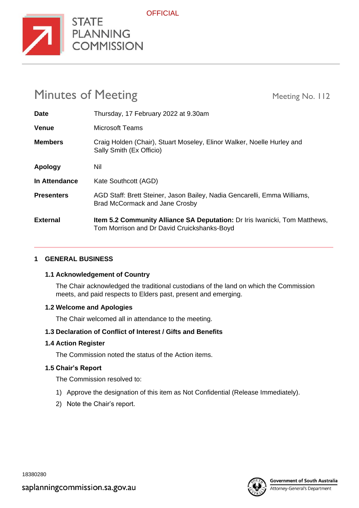

# Minutes of Meeting Meeting Meeting No. 112

**STATE** 

| <b>Date</b>       | Thursday, 17 February 2022 at 9.30am                                                                                             |
|-------------------|----------------------------------------------------------------------------------------------------------------------------------|
| <b>Venue</b>      | Microsoft Teams                                                                                                                  |
| <b>Members</b>    | Craig Holden (Chair), Stuart Moseley, Elinor Walker, Noelle Hurley and<br>Sally Smith (Ex Officio)                               |
| Apology           | Nil                                                                                                                              |
| In Attendance     | Kate Southcott (AGD)                                                                                                             |
| <b>Presenters</b> | AGD Staff: Brett Steiner, Jason Bailey, Nadia Gencarelli, Emma Williams,<br><b>Brad McCormack and Jane Crosby</b>                |
| <b>External</b>   | <b>Item 5.2 Community Alliance SA Deputation:</b> Dr Iris Iwanicki, Tom Matthews,<br>Tom Morrison and Dr David Cruickshanks-Boyd |

## **1 GENERAL BUSINESS**

#### **1.1 Acknowledgement of Country**

The Chair acknowledged the traditional custodians of the land on which the Commission meets, and paid respects to Elders past, present and emerging.

#### **1.2 Welcome and Apologies**

The Chair welcomed all in attendance to the meeting.

## **1.3 Declaration of Conflict of Interest / Gifts and Benefits**

#### **1.4 Action Register**

The Commission noted the status of the Action items.

#### **1.5 Chair's Report**

The Commission resolved to:

- 1) Approve the designation of this item as Not Confidential (Release Immediately).
- 2) Note the Chair's report.

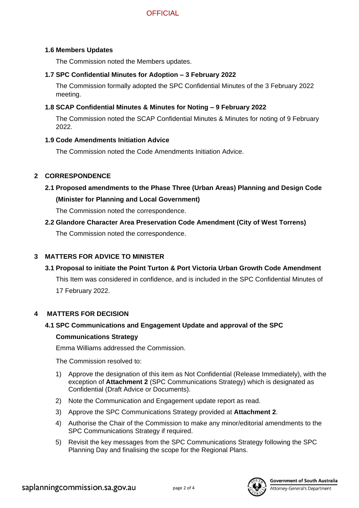#### **1.6 Members Updates**

The Commission noted the Members updates.

#### **1.7 SPC Confidential Minutes for Adoption – 3 February 2022**

The Commission formally adopted the SPC Confidential Minutes of the 3 February 2022 meeting.

#### **1.8 SCAP Confidential Minutes & Minutes for Noting – 9 February 2022**

The Commission noted the SCAP Confidential Minutes & Minutes for noting of 9 February 2022.

#### **1.9 Code Amendments Initiation Advice**

The Commission noted the Code Amendments Initiation Advice.

#### **2 CORRESPONDENCE**

**2.1 Proposed amendments to the Phase Three (Urban Areas) Planning and Design Code (Minister for Planning and Local Government)**

The Commission noted the correspondence.

**2.2 Glandore Character Area Preservation Code Amendment (City of West Torrens)** 

The Commission noted the correspondence.

#### **3 MATTERS FOR ADVICE TO MINISTER**

## **3.1 Proposal to initiate the Point Turton & Port Victoria Urban Growth Code Amendment**

This Item was considered in confidence, and is included in the SPC Confidential Minutes of 17 February 2022.

#### **4 MATTERS FOR DECISION**

#### **4.1 SPC Communications and Engagement Update and approval of the SPC**

#### **Communications Strategy**

Emma Williams addressed the Commission.

The Commission resolved to:

- 1) Approve the designation of this item as Not Confidential (Release Immediately), with the exception of **Attachment 2** (SPC Communications Strategy) which is designated as Confidential (Draft Advice or Documents).
- 2) Note the Communication and Engagement update report as read.
- 3) Approve the SPC Communications Strategy provided at **Attachment 2**.
- 4) Authorise the Chair of the Commission to make any minor/editorial amendments to the SPC Communications Strategy if required.
- 5) Revisit the key messages from the SPC Communications Strategy following the SPC Planning Day and finalising the scope for the Regional Plans.

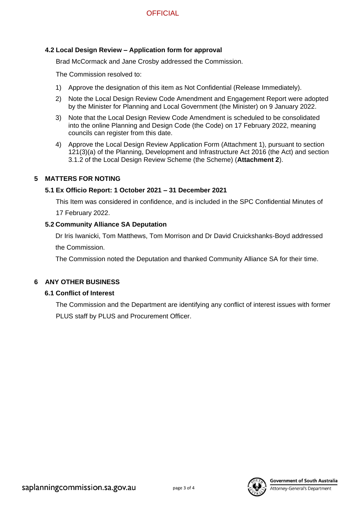#### **4.2 Local Design Review – Application form for approval**

Brad McCormack and Jane Crosby addressed the Commission.

The Commission resolved to:

- 1) Approve the designation of this item as Not Confidential (Release Immediately).
- 2) Note the Local Design Review Code Amendment and Engagement Report were adopted by the Minister for Planning and Local Government (the Minister) on 9 January 2022.
- 3) Note that the Local Design Review Code Amendment is scheduled to be consolidated into the online Planning and Design Code (the Code) on 17 February 2022, meaning councils can register from this date.
- 4) Approve the Local Design Review Application Form (Attachment 1), pursuant to section 121(3)(a) of the Planning, Development and Infrastructure Act 2016 (the Act) and section 3.1.2 of the Local Design Review Scheme (the Scheme) (**Attachment 2**).

#### **5 MATTERS FOR NOTING**

#### **5.1 Ex Officio Report: 1 October 2021 – 31 December 2021**

This Item was considered in confidence, and is included in the SPC Confidential Minutes of 17 February 2022.

#### **5.2 Community Alliance SA Deputation**

Dr Iris Iwanicki, Tom Matthews, Tom Morrison and Dr David Cruickshanks-Boyd addressed the Commission.

The Commission noted the Deputation and thanked Community Alliance SA for their time.

#### **6 ANY OTHER BUSINESS**

#### **6.1 Conflict of Interest**

The Commission and the Department are identifying any conflict of interest issues with former PLUS staff by PLUS and Procurement Officer.